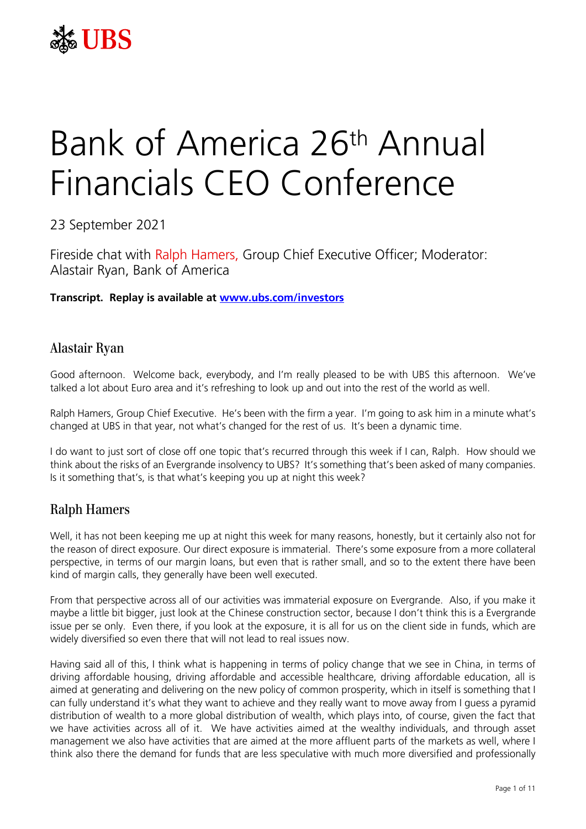

# Bank of America 26th Annual Financials CEO Conference

23 September 2021

Fireside chat with Ralph Hamers, Group Chief Executive Officer; Moderator: Alastair Ryan, Bank of America

**Transcript. Replay is available at [www.ubs.com/investors](http://www.ubs.com/investors)**

### Alastair Ryan

Good afternoon. Welcome back, everybody, and I'm really pleased to be with UBS this afternoon. We've talked a lot about Euro area and it's refreshing to look up and out into the rest of the world as well.

Ralph Hamers, Group Chief Executive. He's been with the firm a year. I'm going to ask him in a minute what's changed at UBS in that year, not what's changed for the rest of us. It's been a dynamic time.

I do want to just sort of close off one topic that's recurred through this week if I can, Ralph. How should we think about the risks of an Evergrande insolvency to UBS? It's something that's been asked of many companies. Is it something that's, is that what's keeping you up at night this week?

# Ralph Hamers

Well, it has not been keeping me up at night this week for many reasons, honestly, but it certainly also not for the reason of direct exposure. Our direct exposure is immaterial. There's some exposure from a more collateral perspective, in terms of our margin loans, but even that is rather small, and so to the extent there have been kind of margin calls, they generally have been well executed.

From that perspective across all of our activities was immaterial exposure on Evergrande. Also, if you make it maybe a little bit bigger, just look at the Chinese construction sector, because I don't think this is a Evergrande issue per se only. Even there, if you look at the exposure, it is all for us on the client side in funds, which are widely diversified so even there that will not lead to real issues now.

Having said all of this, I think what is happening in terms of policy change that we see in China, in terms of driving affordable housing, driving affordable and accessible healthcare, driving affordable education, all is aimed at generating and delivering on the new policy of common prosperity, which in itself is something that I can fully understand it's what they want to achieve and they really want to move away from I guess a pyramid distribution of wealth to a more global distribution of wealth, which plays into, of course, given the fact that we have activities across all of it. We have activities aimed at the wealthy individuals, and through asset management we also have activities that are aimed at the more affluent parts of the markets as well, where I think also there the demand for funds that are less speculative with much more diversified and professionally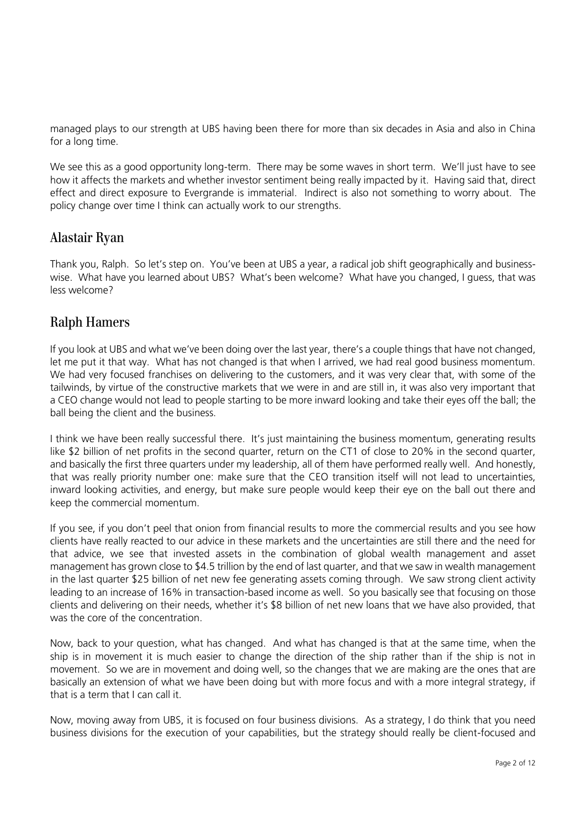managed plays to our strength at UBS having been there for more than six decades in Asia and also in China for a long time.

We see this as a good opportunity long-term. There may be some waves in short term. We'll just have to see how it affects the markets and whether investor sentiment being really impacted by it. Having said that, direct effect and direct exposure to Evergrande is immaterial. Indirect is also not something to worry about. The policy change over time I think can actually work to our strengths.

## Alastair Ryan

Thank you, Ralph. So let's step on. You've been at UBS a year, a radical job shift geographically and businesswise. What have you learned about UBS? What's been welcome? What have you changed, I guess, that was less welcome?

# Ralph Hamers

If you look at UBS and what we've been doing over the last year, there's a couple things that have not changed, let me put it that way. What has not changed is that when I arrived, we had real good business momentum. We had very focused franchises on delivering to the customers, and it was very clear that, with some of the tailwinds, by virtue of the constructive markets that we were in and are still in, it was also very important that a CEO change would not lead to people starting to be more inward looking and take their eyes off the ball; the ball being the client and the business.

I think we have been really successful there. It's just maintaining the business momentum, generating results like \$2 billion of net profits in the second quarter, return on the CT1 of close to 20% in the second quarter, and basically the first three quarters under my leadership, all of them have performed really well. And honestly, that was really priority number one: make sure that the CEO transition itself will not lead to uncertainties, inward looking activities, and energy, but make sure people would keep their eye on the ball out there and keep the commercial momentum.

If you see, if you don't peel that onion from financial results to more the commercial results and you see how clients have really reacted to our advice in these markets and the uncertainties are still there and the need for that advice, we see that invested assets in the combination of global wealth management and asset management has grown close to \$4.5 trillion by the end of last quarter, and that we saw in wealth management in the last quarter \$25 billion of net new fee generating assets coming through. We saw strong client activity leading to an increase of 16% in transaction-based income as well. So you basically see that focusing on those clients and delivering on their needs, whether it's \$8 billion of net new loans that we have also provided, that was the core of the concentration.

Now, back to your question, what has changed. And what has changed is that at the same time, when the ship is in movement it is much easier to change the direction of the ship rather than if the ship is not in movement. So we are in movement and doing well, so the changes that we are making are the ones that are basically an extension of what we have been doing but with more focus and with a more integral strategy, if that is a term that I can call it.

Now, moving away from UBS, it is focused on four business divisions. As a strategy, I do think that you need business divisions for the execution of your capabilities, but the strategy should really be client-focused and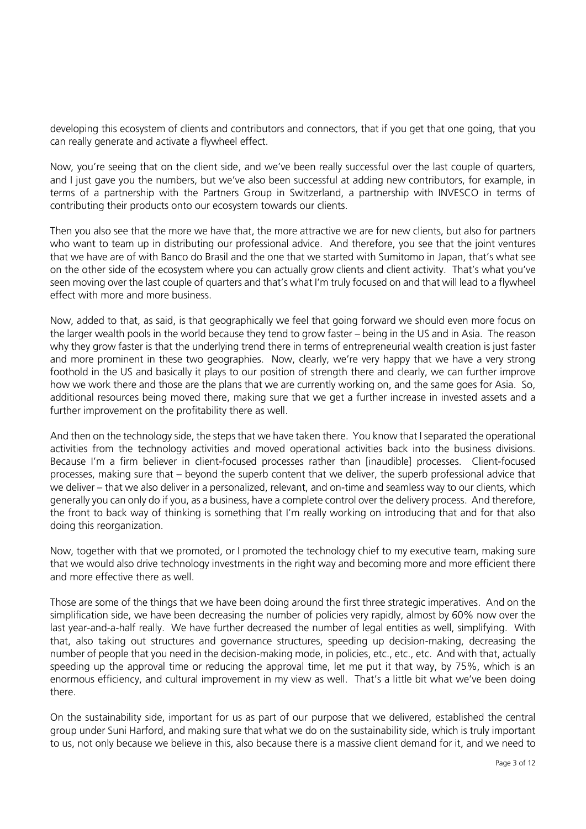developing this ecosystem of clients and contributors and connectors, that if you get that one going, that you can really generate and activate a flywheel effect.

Now, you're seeing that on the client side, and we've been really successful over the last couple of quarters, and I just gave you the numbers, but we've also been successful at adding new contributors, for example, in terms of a partnership with the Partners Group in Switzerland, a partnership with INVESCO in terms of contributing their products onto our ecosystem towards our clients.

Then you also see that the more we have that, the more attractive we are for new clients, but also for partners who want to team up in distributing our professional advice. And therefore, you see that the joint ventures that we have are of with Banco do Brasil and the one that we started with Sumitomo in Japan, that's what see on the other side of the ecosystem where you can actually grow clients and client activity. That's what you've seen moving over the last couple of quarters and that's what I'm truly focused on and that will lead to a flywheel effect with more and more business.

Now, added to that, as said, is that geographically we feel that going forward we should even more focus on the larger wealth pools in the world because they tend to grow faster – being in the US and in Asia. The reason why they grow faster is that the underlying trend there in terms of entrepreneurial wealth creation is just faster and more prominent in these two geographies. Now, clearly, we're very happy that we have a very strong foothold in the US and basically it plays to our position of strength there and clearly, we can further improve how we work there and those are the plans that we are currently working on, and the same goes for Asia. So, additional resources being moved there, making sure that we get a further increase in invested assets and a further improvement on the profitability there as well.

And then on the technology side, the steps that we have taken there. You know that I separated the operational activities from the technology activities and moved operational activities back into the business divisions. Because I'm a firm believer in client-focused processes rather than [inaudible] processes. Client-focused processes, making sure that – beyond the superb content that we deliver, the superb professional advice that we deliver – that we also deliver in a personalized, relevant, and on-time and seamless way to our clients, which generally you can only do if you, as a business, have a complete control over the delivery process. And therefore, the front to back way of thinking is something that I'm really working on introducing that and for that also doing this reorganization.

Now, together with that we promoted, or I promoted the technology chief to my executive team, making sure that we would also drive technology investments in the right way and becoming more and more efficient there and more effective there as well.

Those are some of the things that we have been doing around the first three strategic imperatives. And on the simplification side, we have been decreasing the number of policies very rapidly, almost by 60% now over the last year-and-a-half really. We have further decreased the number of legal entities as well, simplifying. With that, also taking out structures and governance structures, speeding up decision-making, decreasing the number of people that you need in the decision-making mode, in policies, etc., etc., etc. And with that, actually speeding up the approval time or reducing the approval time, let me put it that way, by 75%, which is an enormous efficiency, and cultural improvement in my view as well. That's a little bit what we've been doing there.

On the sustainability side, important for us as part of our purpose that we delivered, established the central group under Suni Harford, and making sure that what we do on the sustainability side, which is truly important to us, not only because we believe in this, also because there is a massive client demand for it, and we need to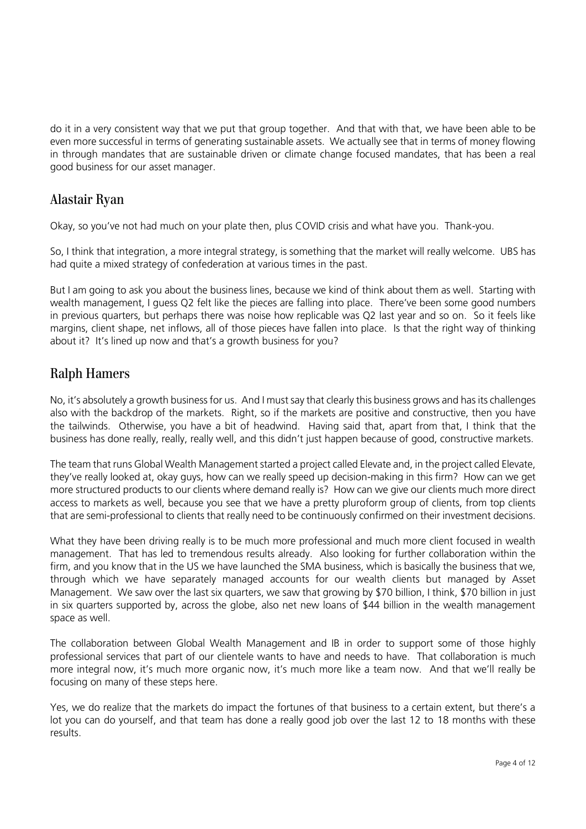do it in a very consistent way that we put that group together. And that with that, we have been able to be even more successful in terms of generating sustainable assets. We actually see that in terms of money flowing in through mandates that are sustainable driven or climate change focused mandates, that has been a real good business for our asset manager.

## Alastair Ryan

Okay, so you've not had much on your plate then, plus COVID crisis and what have you. Thank-you.

So, I think that integration, a more integral strategy, is something that the market will really welcome. UBS has had quite a mixed strategy of confederation at various times in the past.

But I am going to ask you about the business lines, because we kind of think about them as well. Starting with wealth management, I guess Q2 felt like the pieces are falling into place. There've been some good numbers in previous quarters, but perhaps there was noise how replicable was Q2 last year and so on. So it feels like margins, client shape, net inflows, all of those pieces have fallen into place. Is that the right way of thinking about it? It's lined up now and that's a growth business for you?

## Ralph Hamers

No, it's absolutely a growth business for us. And I must say that clearly this business grows and has its challenges also with the backdrop of the markets. Right, so if the markets are positive and constructive, then you have the tailwinds. Otherwise, you have a bit of headwind. Having said that, apart from that, I think that the business has done really, really, really well, and this didn't just happen because of good, constructive markets.

The team that runs Global Wealth Management started a project called Elevate and, in the project called Elevate, they've really looked at, okay guys, how can we really speed up decision-making in this firm? How can we get more structured products to our clients where demand really is? How can we give our clients much more direct access to markets as well, because you see that we have a pretty pluroform group of clients, from top clients that are semi-professional to clients that really need to be continuously confirmed on their investment decisions.

What they have been driving really is to be much more professional and much more client focused in wealth management. That has led to tremendous results already. Also looking for further collaboration within the firm, and you know that in the US we have launched the SMA business, which is basically the business that we, through which we have separately managed accounts for our wealth clients but managed by Asset Management. We saw over the last six quarters, we saw that growing by \$70 billion, I think, \$70 billion in just in six quarters supported by, across the globe, also net new loans of \$44 billion in the wealth management space as well.

The collaboration between Global Wealth Management and IB in order to support some of those highly professional services that part of our clientele wants to have and needs to have. That collaboration is much more integral now, it's much more organic now, it's much more like a team now. And that we'll really be focusing on many of these steps here.

Yes, we do realize that the markets do impact the fortunes of that business to a certain extent, but there's a lot you can do yourself, and that team has done a really good job over the last 12 to 18 months with these results.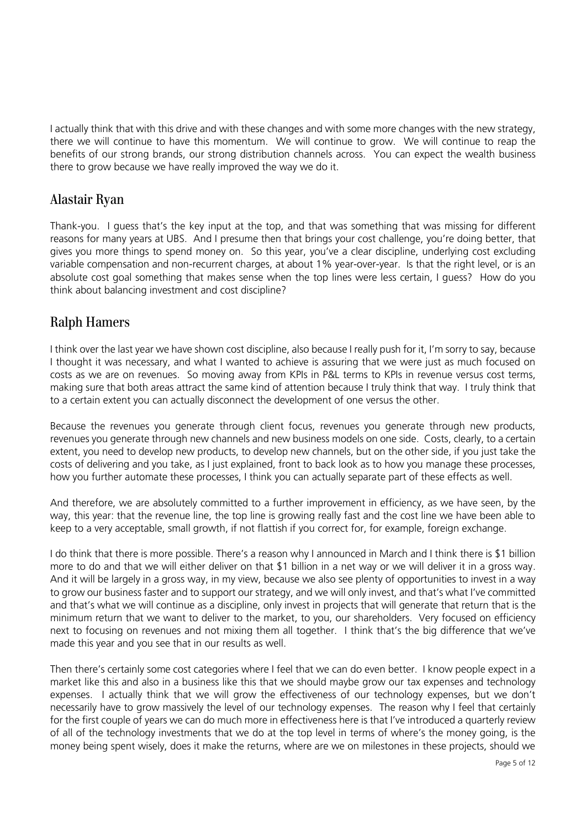I actually think that with this drive and with these changes and with some more changes with the new strategy, there we will continue to have this momentum. We will continue to grow. We will continue to reap the benefits of our strong brands, our strong distribution channels across. You can expect the wealth business there to grow because we have really improved the way we do it.

## Alastair Ryan

Thank-you. I guess that's the key input at the top, and that was something that was missing for different reasons for many years at UBS. And I presume then that brings your cost challenge, you're doing better, that gives you more things to spend money on. So this year, you've a clear discipline, underlying cost excluding variable compensation and non-recurrent charges, at about 1% year-over-year. Is that the right level, or is an absolute cost goal something that makes sense when the top lines were less certain, I guess? How do you think about balancing investment and cost discipline?

## Ralph Hamers

I think over the last year we have shown cost discipline, also because I really push for it, I'm sorry to say, because I thought it was necessary, and what I wanted to achieve is assuring that we were just as much focused on costs as we are on revenues. So moving away from KPIs in P&L terms to KPIs in revenue versus cost terms, making sure that both areas attract the same kind of attention because I truly think that way. I truly think that to a certain extent you can actually disconnect the development of one versus the other.

Because the revenues you generate through client focus, revenues you generate through new products, revenues you generate through new channels and new business models on one side. Costs, clearly, to a certain extent, you need to develop new products, to develop new channels, but on the other side, if you just take the costs of delivering and you take, as I just explained, front to back look as to how you manage these processes, how you further automate these processes, I think you can actually separate part of these effects as well.

And therefore, we are absolutely committed to a further improvement in efficiency, as we have seen, by the way, this year: that the revenue line, the top line is growing really fast and the cost line we have been able to keep to a very acceptable, small growth, if not flattish if you correct for, for example, foreign exchange.

I do think that there is more possible. There's a reason why I announced in March and I think there is \$1 billion more to do and that we will either deliver on that \$1 billion in a net way or we will deliver it in a gross way. And it will be largely in a gross way, in my view, because we also see plenty of opportunities to invest in a way to grow our business faster and to support our strategy, and we will only invest, and that's what I've committed and that's what we will continue as a discipline, only invest in projects that will generate that return that is the minimum return that we want to deliver to the market, to you, our shareholders. Very focused on efficiency next to focusing on revenues and not mixing them all together. I think that's the big difference that we've made this year and you see that in our results as well.

Then there's certainly some cost categories where I feel that we can do even better. I know people expect in a market like this and also in a business like this that we should maybe grow our tax expenses and technology expenses. I actually think that we will grow the effectiveness of our technology expenses, but we don't necessarily have to grow massively the level of our technology expenses. The reason why I feel that certainly for the first couple of years we can do much more in effectiveness here is that I've introduced a quarterly review of all of the technology investments that we do at the top level in terms of where's the money going, is the money being spent wisely, does it make the returns, where are we on milestones in these projects, should we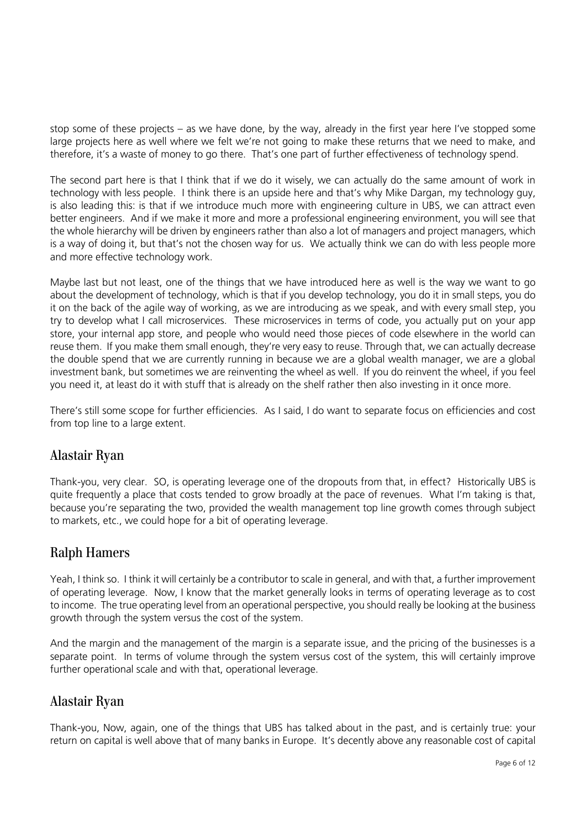stop some of these projects – as we have done, by the way, already in the first year here I've stopped some large projects here as well where we felt we're not going to make these returns that we need to make, and therefore, it's a waste of money to go there. That's one part of further effectiveness of technology spend.

The second part here is that I think that if we do it wisely, we can actually do the same amount of work in technology with less people. I think there is an upside here and that's why Mike Dargan, my technology guy, is also leading this: is that if we introduce much more with engineering culture in UBS, we can attract even better engineers. And if we make it more and more a professional engineering environment, you will see that the whole hierarchy will be driven by engineers rather than also a lot of managers and project managers, which is a way of doing it, but that's not the chosen way for us. We actually think we can do with less people more and more effective technology work.

Maybe last but not least, one of the things that we have introduced here as well is the way we want to go about the development of technology, which is that if you develop technology, you do it in small steps, you do it on the back of the agile way of working, as we are introducing as we speak, and with every small step, you try to develop what I call microservices. These microservices in terms of code, you actually put on your app store, your internal app store, and people who would need those pieces of code elsewhere in the world can reuse them. If you make them small enough, they're very easy to reuse. Through that, we can actually decrease the double spend that we are currently running in because we are a global wealth manager, we are a global investment bank, but sometimes we are reinventing the wheel as well. If you do reinvent the wheel, if you feel you need it, at least do it with stuff that is already on the shelf rather then also investing in it once more.

There's still some scope for further efficiencies. As I said, I do want to separate focus on efficiencies and cost from top line to a large extent.

## Alastair Ryan

Thank-you, very clear. SO, is operating leverage one of the dropouts from that, in effect? Historically UBS is quite frequently a place that costs tended to grow broadly at the pace of revenues. What I'm taking is that, because you're separating the two, provided the wealth management top line growth comes through subject to markets, etc., we could hope for a bit of operating leverage.

## Ralph Hamers

Yeah, I think so. I think it will certainly be a contributor to scale in general, and with that, a further improvement of operating leverage. Now, I know that the market generally looks in terms of operating leverage as to cost to income. The true operating level from an operational perspective, you should really be looking at the business growth through the system versus the cost of the system.

And the margin and the management of the margin is a separate issue, and the pricing of the businesses is a separate point. In terms of volume through the system versus cost of the system, this will certainly improve further operational scale and with that, operational leverage.

## Alastair Ryan

Thank-you, Now, again, one of the things that UBS has talked about in the past, and is certainly true: your return on capital is well above that of many banks in Europe. It's decently above any reasonable cost of capital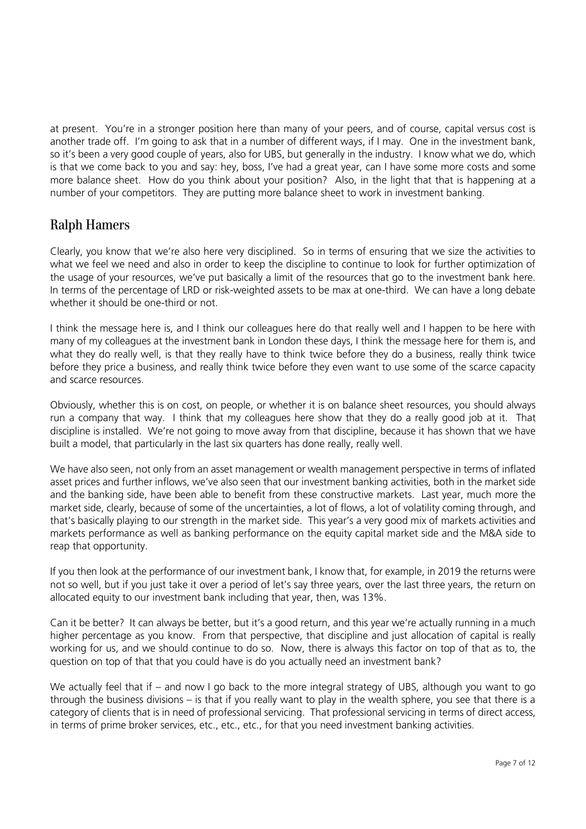at present. You're in a stronger position here than many of your peers, and of course, capital versus cost is another trade off. I'm going to ask that in a number of different ways, if I may. One in the investment bank, so it's been a very good couple of years, also for UBS, but generally in the industry. I know what we do, which is that we come back to you and say: hey, boss, I've had a great year, can I have some more costs and some more balance sheet. How do you think about your position? Also, in the light that that is happening at a number of your competitors. They are putting more balance sheet to work in investment banking.

# Ralph Hamers

Clearly, you know that we're also here very disciplined. So in terms of ensuring that we size the activities to what we feel we need and also in order to keep the discipline to continue to look for further optimization of the usage of your resources, we've put basically a limit of the resources that go to the investment bank here. In terms of the percentage of LRD or risk-weighted assets to be max at one-third. We can have a long debate whether it should be one-third or not.

I think the message here is, and I think our colleagues here do that really well and I happen to be here with many of my colleagues at the investment bank in London these days, I think the message here for them is, and what they do really well, is that they really have to think twice before they do a business, really think twice before they price a business, and really think twice before they even want to use some of the scarce capacity and scarce resources.

Obviously, whether this is on cost, on people, or whether it is on balance sheet resources, you should always run a company that way. I think that my colleagues here show that they do a really good job at it. That discipline is installed. We're not going to move away from that discipline, because it has shown that we have built a model, that particularly in the last six quarters has done really, really well.

We have also seen, not only from an asset management or wealth management perspective in terms of inflated asset prices and further inflows, we've also seen that our investment banking activities, both in the market side and the banking side, have been able to benefit from these constructive markets. Last year, much more the market side, clearly, because of some of the uncertainties, a lot of flows, a lot of volatility coming through, and that's basically playing to our strength in the market side. This year's a very good mix of markets activities and markets performance as well as banking performance on the equity capital market side and the M&A side to reap that opportunity.

If you then look at the performance of our investment bank, I know that, for example, in 2019 the returns were not so well, but if you just take it over a period of let's say three years, over the last three years, the return on allocated equity to our investment bank including that year, then, was 13%.

Can it be better? It can always be better, but it's a good return, and this year we're actually running in a much higher percentage as you know. From that perspective, that discipline and just allocation of capital is really working for us, and we should continue to do so. Now, there is always this factor on top of that as to, the question on top of that that you could have is do you actually need an investment bank?

We actually feel that if – and now I go back to the more integral strategy of UBS, although you want to go through the business divisions – is that if you really want to play in the wealth sphere, you see that there is a category of clients that is in need of professional servicing. That professional servicing in terms of direct access, in terms of prime broker services, etc., etc., etc., for that you need investment banking activities.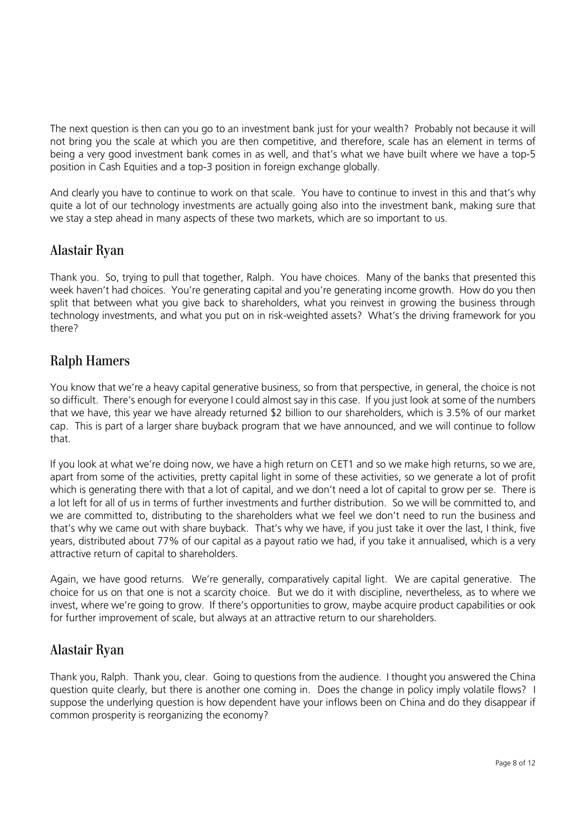The next question is then can you go to an investment bank just for your wealth? Probably not because it will not bring you the scale at which you are then competitive, and therefore, scale has an element in terms of being a very good investment bank comes in as well, and that's what we have built where we have a top-5 position in Cash Equities and a top-3 position in foreign exchange globally.

And clearly you have to continue to work on that scale. You have to continue to invest in this and that's why quite a lot of our technology investments are actually going also into the investment bank, making sure that we stay a step ahead in many aspects of these two markets, which are so important to us.

## Alastair Ryan

Thank you. So, trying to pull that together, Ralph. You have choices. Many of the banks that presented this week haven't had choices. You're generating capital and you're generating income growth. How do you then split that between what you give back to shareholders, what you reinvest in growing the business through technology investments, and what you put on in risk-weighted assets? What's the driving framework for you there?

# Ralph Hamers

You know that we're a heavy capital generative business, so from that perspective, in general, the choice is not so difficult. There's enough for everyone I could almost say in this case. If you just look at some of the numbers that we have, this year we have already returned \$2 billion to our shareholders, which is 3.5% of our market cap. This is part of a larger share buyback program that we have announced, and we will continue to follow that.

If you look at what we're doing now, we have a high return on CET1 and so we make high returns, so we are, apart from some of the activities, pretty capital light in some of these activities, so we generate a lot of profit which is generating there with that a lot of capital, and we don't need a lot of capital to grow per se. There is a lot left for all of us in terms of further investments and further distribution. So we will be committed to, and we are committed to, distributing to the shareholders what we feel we don't need to run the business and that's why we came out with share buyback. That's why we have, if you just take it over the last, I think, five years, distributed about 77% of our capital as a payout ratio we had, if you take it annualised, which is a very attractive return of capital to shareholders.

Again, we have good returns. We're generally, comparatively capital light. We are capital generative. The choice for us on that one is not a scarcity choice. But we do it with discipline, nevertheless, as to where we invest, where we're going to grow. If there's opportunities to grow, maybe acquire product capabilities or ook for further improvement of scale, but always at an attractive return to our shareholders.

## Alastair Ryan

Thank you, Ralph. Thank you, clear. Going to questions from the audience. I thought you answered the China question quite clearly, but there is another one coming in. Does the change in policy imply volatile flows? I suppose the underlying question is how dependent have your inflows been on China and do they disappear if common prosperity is reorganizing the economy?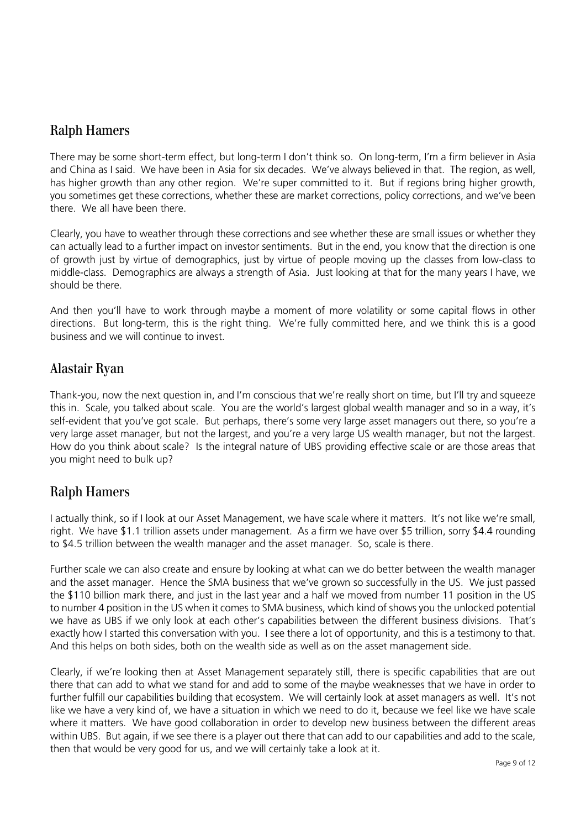## Ralph Hamers

There may be some short-term effect, but long-term I don't think so. On long-term, I'm a firm believer in Asia and China as I said. We have been in Asia for six decades. We've always believed in that. The region, as well, has higher growth than any other region. We're super committed to it. But if regions bring higher growth, you sometimes get these corrections, whether these are market corrections, policy corrections, and we've been there. We all have been there.

Clearly, you have to weather through these corrections and see whether these are small issues or whether they can actually lead to a further impact on investor sentiments. But in the end, you know that the direction is one of growth just by virtue of demographics, just by virtue of people moving up the classes from low-class to middle-class. Demographics are always a strength of Asia. Just looking at that for the many years I have, we should be there.

And then you'll have to work through maybe a moment of more volatility or some capital flows in other directions. But long-term, this is the right thing. We're fully committed here, and we think this is a good business and we will continue to invest.

#### Alastair Ryan

Thank-you, now the next question in, and I'm conscious that we're really short on time, but I'll try and squeeze this in. Scale, you talked about scale. You are the world's largest global wealth manager and so in a way, it's self-evident that you've got scale. But perhaps, there's some very large asset managers out there, so you're a very large asset manager, but not the largest, and you're a very large US wealth manager, but not the largest. How do you think about scale? Is the integral nature of UBS providing effective scale or are those areas that you might need to bulk up?

## Ralph Hamers

I actually think, so if I look at our Asset Management, we have scale where it matters. It's not like we're small, right. We have \$1.1 trillion assets under management. As a firm we have over \$5 trillion, sorry \$4.4 rounding to \$4.5 trillion between the wealth manager and the asset manager. So, scale is there.

Further scale we can also create and ensure by looking at what can we do better between the wealth manager and the asset manager. Hence the SMA business that we've grown so successfully in the US. We just passed the \$110 billion mark there, and just in the last year and a half we moved from number 11 position in the US to number 4 position in the US when it comes to SMA business, which kind of shows you the unlocked potential we have as UBS if we only look at each other's capabilities between the different business divisions. That's exactly how I started this conversation with you. I see there a lot of opportunity, and this is a testimony to that. And this helps on both sides, both on the wealth side as well as on the asset management side.

Clearly, if we're looking then at Asset Management separately still, there is specific capabilities that are out there that can add to what we stand for and add to some of the maybe weaknesses that we have in order to further fulfill our capabilities building that ecosystem. We will certainly look at asset managers as well. It's not like we have a very kind of, we have a situation in which we need to do it, because we feel like we have scale where it matters. We have good collaboration in order to develop new business between the different areas within UBS. But again, if we see there is a player out there that can add to our capabilities and add to the scale, then that would be very good for us, and we will certainly take a look at it.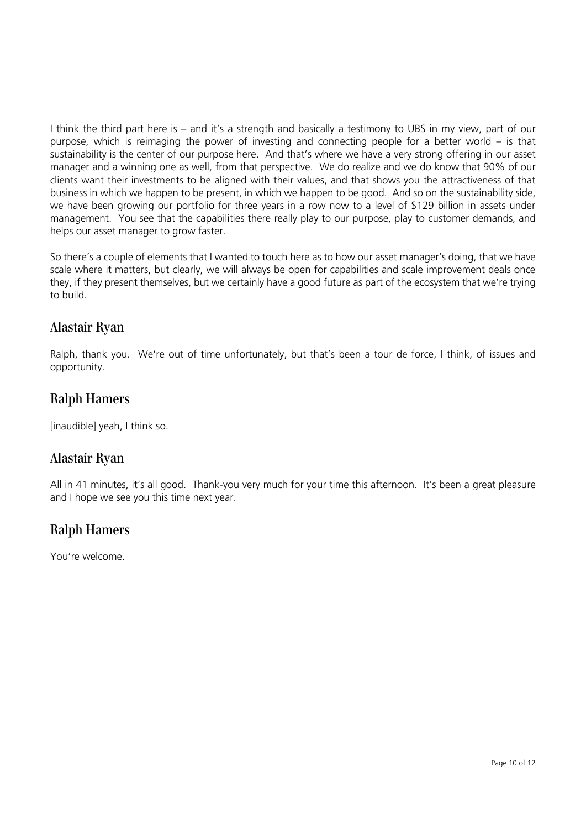I think the third part here is – and it's a strength and basically a testimony to UBS in my view, part of our purpose, which is reimaging the power of investing and connecting people for a better world – is that sustainability is the center of our purpose here. And that's where we have a very strong offering in our asset manager and a winning one as well, from that perspective. We do realize and we do know that 90% of our clients want their investments to be aligned with their values, and that shows you the attractiveness of that business in which we happen to be present, in which we happen to be good. And so on the sustainability side, we have been growing our portfolio for three years in a row now to a level of \$129 billion in assets under management. You see that the capabilities there really play to our purpose, play to customer demands, and helps our asset manager to grow faster.

So there's a couple of elements that I wanted to touch here as to how our asset manager's doing, that we have scale where it matters, but clearly, we will always be open for capabilities and scale improvement deals once they, if they present themselves, but we certainly have a good future as part of the ecosystem that we're trying to build.

# Alastair Ryan

Ralph, thank you. We're out of time unfortunately, but that's been a tour de force, I think, of issues and opportunity.

# Ralph Hamers

[inaudible] yeah, I think so.

## Alastair Ryan

All in 41 minutes, it's all good. Thank-you very much for your time this afternoon. It's been a great pleasure and I hope we see you this time next year.

# Ralph Hamers

You're welcome.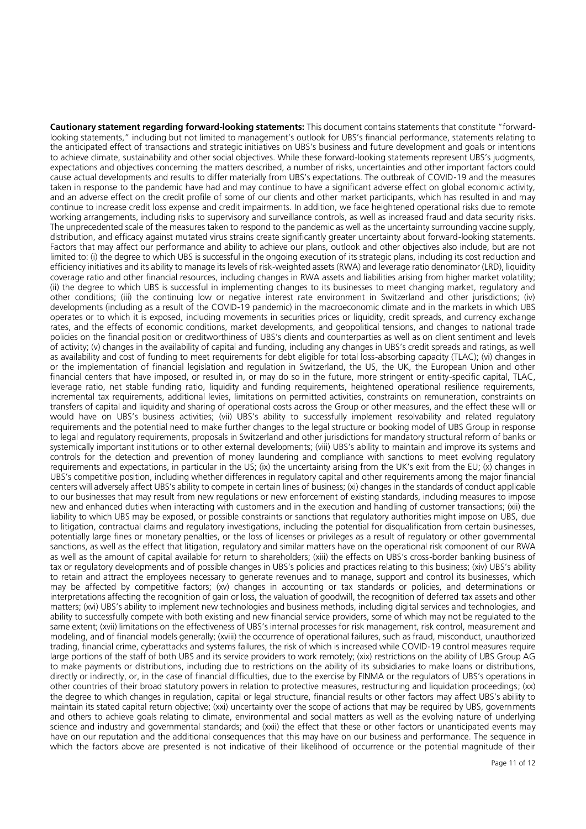**Cautionary statement regarding forward-looking statements:** This document contains statements that constitute "forwardlooking statements," including but not limited to management's outlook for UBS's financial performance, statements relating to the anticipated effect of transactions and strategic initiatives on UBS's business and future development and goals or intentions to achieve climate, sustainability and other social objectives. While these forward-looking statements represent UBS's judgments, expectations and objectives concerning the matters described, a number of risks, uncertainties and other important factors could cause actual developments and results to differ materially from UBS's expectations. The outbreak of COVID-19 and the measures taken in response to the pandemic have had and may continue to have a significant adverse effect on global economic activity, and an adverse effect on the credit profile of some of our clients and other market participants, which has resulted in and may continue to increase credit loss expense and credit impairments. In addition, we face heightened operational risks due to remote working arrangements, including risks to supervisory and surveillance controls, as well as increased fraud and data security risks. The unprecedented scale of the measures taken to respond to the pandemic as well as the uncertainty surrounding vaccine supply, distribution, and efficacy against mutated virus strains create significantly greater uncertainty about forward-looking statements. Factors that may affect our performance and ability to achieve our plans, outlook and other objectives also include, but are not limited to: (i) the degree to which UBS is successful in the ongoing execution of its strategic plans, including its cost reduction and efficiency initiatives and its ability to manage its levels of risk-weighted assets (RWA) and leverage ratio denominator (LRD), liquidity coverage ratio and other financial resources, including changes in RWA assets and liabilities arising from higher market volatility; (ii) the degree to which UBS is successful in implementing changes to its businesses to meet changing market, regulatory and other conditions; (iii) the continuing low or negative interest rate environment in Switzerland and other jurisdictions; (iv) developments (including as a result of the COVID-19 pandemic) in the macroeconomic climate and in the markets in which UBS operates or to which it is exposed, including movements in securities prices or liquidity, credit spreads, and currency exchange rates, and the effects of economic conditions, market developments, and geopolitical tensions, and changes to national trade policies on the financial position or creditworthiness of UBS's clients and counterparties as well as on client sentiment and levels of activity; (v) changes in the availability of capital and funding, including any changes in UBS's credit spreads and ratings, as well as availability and cost of funding to meet requirements for debt eligible for total loss-absorbing capacity (TLAC); (vi) changes in or the implementation of financial legislation and regulation in Switzerland, the US, the UK, the European Union and other financial centers that have imposed, or resulted in, or may do so in the future, more stringent or entity-specific capital, TLAC, leverage ratio, net stable funding ratio, liquidity and funding requirements, heightened operational resilience requirements, incremental tax requirements, additional levies, limitations on permitted activities, constraints on remuneration, constraints on transfers of capital and liquidity and sharing of operational costs across the Group or other measures, and the effect these will or would have on UBS's business activities; (vii) UBS's ability to successfully implement resolvability and related regulatory requirements and the potential need to make further changes to the legal structure or booking model of UBS Group in response to legal and regulatory requirements, proposals in Switzerland and other jurisdictions for mandatory structural reform of banks or systemically important institutions or to other external developments; (viii) UBS's ability to maintain and improve its systems and controls for the detection and prevention of money laundering and compliance with sanctions to meet evolving regulatory requirements and expectations, in particular in the US; (ix) the uncertainty arising from the UK's exit from the EU; (x) changes in UBS's competitive position, including whether differences in regulatory capital and other requirements among the major financial centers will adversely affect UBS's ability to compete in certain lines of business; (xi) changes in the standards of conduct applicable to our businesses that may result from new regulations or new enforcement of existing standards, including measures to impose new and enhanced duties when interacting with customers and in the execution and handling of customer transactions; (xii) the liability to which UBS may be exposed, or possible constraints or sanctions that regulatory authorities might impose on UBS, due to litigation, contractual claims and regulatory investigations, including the potential for disqualification from certain businesses, potentially large fines or monetary penalties, or the loss of licenses or privileges as a result of regulatory or other governmental sanctions, as well as the effect that litigation, regulatory and similar matters have on the operational risk component of our RWA as well as the amount of capital available for return to shareholders; (xiii) the effects on UBS's cross-border banking business of tax or regulatory developments and of possible changes in UBS's policies and practices relating to this business; (xiv) UBS's ability to retain and attract the employees necessary to generate revenues and to manage, support and control its businesses, which may be affected by competitive factors; (xv) changes in accounting or tax standards or policies, and determinations or interpretations affecting the recognition of gain or loss, the valuation of goodwill, the recognition of deferred tax assets and other matters; (xvi) UBS's ability to implement new technologies and business methods, including digital services and technologies, and ability to successfully compete with both existing and new financial service providers, some of which may not be regulated to the same extent; (xvii) limitations on the effectiveness of UBS's internal processes for risk management, risk control, measurement and modeling, and of financial models generally; (xviii) the occurrence of operational failures, such as fraud, misconduct, unauthorized trading, financial crime, cyberattacks and systems failures, the risk of which is increased while COVID-19 control measures require large portions of the staff of both UBS and its service providers to work remotely; (xix) restrictions on the ability of UBS Group AG to make payments or distributions, including due to restrictions on the ability of its subsidiaries to make loans or distributions, directly or indirectly, or, in the case of financial difficulties, due to the exercise by FINMA or the regulators of UBS's operations in other countries of their broad statutory powers in relation to protective measures, restructuring and liquidation proceedings; (xx) the degree to which changes in regulation, capital or legal structure, financial results or other factors may affect UBS's ability to maintain its stated capital return objective; (xxi) uncertainty over the scope of actions that may be required by UBS, governments and others to achieve goals relating to climate, environmental and social matters as well as the evolving nature of underlying science and industry and governmental standards; and (xxii) the effect that these or other factors or unanticipated events may have on our reputation and the additional consequences that this may have on our business and performance. The sequence in which the factors above are presented is not indicative of their likelihood of occurrence or the potential magnitude of their